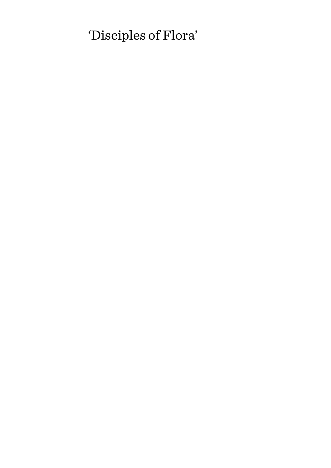# 'Disciples of Flora'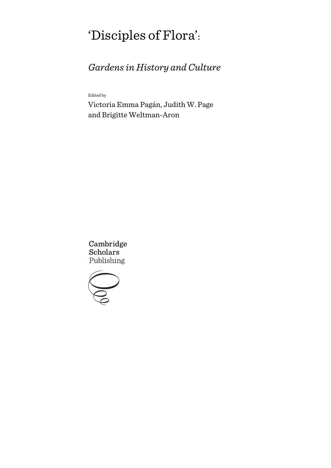# 'Disciples of Flora':

# *Gardens in History and Culture*

Edited by

Victoria Emma Pagán, Judith W. Page and Brigitte Weltman-Aron

Cambridge **Scholars** Publishing

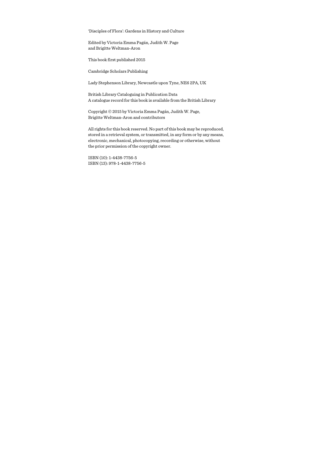'Disciples of Flora': Gardens in History and Culture

Edited by Victoria Emma Pagán, Judith W. Page and Brigitte Weltman-Aron

This book first published 2015

Cambridge Scholars Publishing

Lady Stephenson Library, Newcastle upon Tyne, NE6 2PA, UK

British Library Cataloguing in Publication Data A catalogue record for this book is available from the British Library

Copyright © 2015 by Victoria Emma Pagán, Judith W. Page, Brigitte Weltman-Aron and contributors

All rights for this book reserved. No part of this book may be reproduced, stored in a retrieval system, or transmitted, in any form or by any means, electronic, mechanical, photocopying, recording or otherwise, without the prior permission of the copyright owner.

ISBN (10): 1-4438-7756-5 ISBN (13): 978-1-4438-7756-5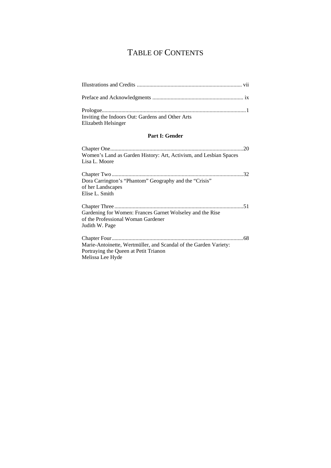# TABLE OF CONTENTS

| Inviting the Indoors Out: Gardens and Other Arts<br>Elizabeth Helsinger                                                       |  |  |
|-------------------------------------------------------------------------------------------------------------------------------|--|--|
| <b>Part I: Gender</b>                                                                                                         |  |  |
| Women's Land as Garden History: Art, Activism, and Lesbian Spaces<br>Lisa L. Moore                                            |  |  |
| Dora Carrington's "Phantom" Geography and the "Crisis"<br>of her Landscapes<br>Elise L. Smith                                 |  |  |
| Gardening for Women: Frances Garnet Wolseley and the Rise<br>of the Professional Woman Gardener<br>Judith W. Page             |  |  |
| Marie-Antoinette, Wertmüller, and Scandal of the Garden Variety:<br>Portraying the Queen at Petit Trianon<br>Melissa Lee Hyde |  |  |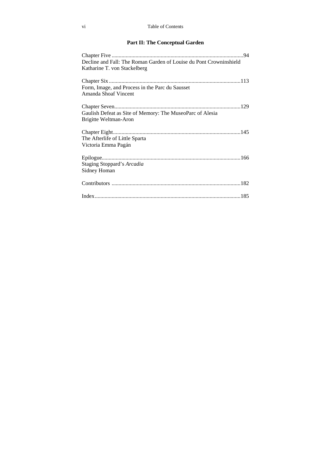#### vi Table of Contents

### **Part II: The Conceptual Garden**

| Decline and Fall: The Roman Garden of Louise du Pont Crowninshield<br>Katharine T. von Stackelberg |
|----------------------------------------------------------------------------------------------------|
| Form, Image, and Process in the Parc du Sausset<br>Amanda Shoaf Vincent                            |
| Gaulish Defeat as Site of Memory: The MuseoParc of Alesia<br>Brigitte Weltman-Aron                 |
| The Afterlife of Little Sparta<br>Victoria Emma Pagán                                              |
| Staging Stoppard's Arcadia<br>Sidney Homan                                                         |
|                                                                                                    |
|                                                                                                    |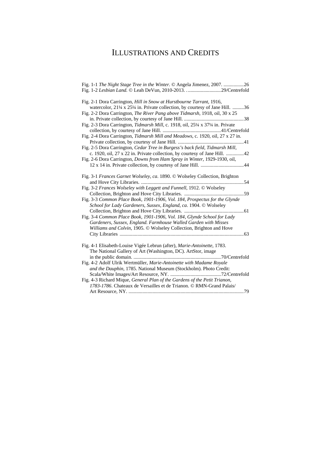## ILLUSTRATIONS AND CREDITS

| Fig. 1-1 The Night Stage Tree in the Winter. © Angela Jimenez, 2007. 26             |
|-------------------------------------------------------------------------------------|
| Fig. 1-2 Lesbian Land. © Leah DeVun, 2010-2013. 29/Centrefold                       |
| Fig. 2-1 Dora Carrington, Hill in Snow at Hurstbourne Tarrant, 1916,                |
| watercolor, 21¼ x 25¼ in. Private collection, by courtesy of Jane Hill. 36          |
| Fig. 2-2 Dora Carrington, <i>The River Pang above Tidmarsh</i> , 1918, oil, 30 x 25 |
|                                                                                     |
| Fig. 2-3 Dora Carrington, Tidmarsh Mill, c. 1918, oil, 25¼ x 37¼ in. Private        |
|                                                                                     |
| Fig. 2-4 Dora Carrington, Tidmarsh Mill and Meadows, c. 1920, oil, 27 x 27 in.      |
|                                                                                     |
| Fig. 2-5 Dora Carrington, Cedar Tree in Burgess's back field, Tidmarsh Mill,        |
| c. 1920, oil, 27 x 22 in. Private collection, by courtesy of Jane Hill. 42          |
| Fig. 2-6 Dora Carrington, Downs from Ham Spray in Winter, 1929-1930, oil,           |
|                                                                                     |
| Fig. 3-1 Frances Garnet Wolseley, ca. 1890. © Wolseley Collection, Brighton         |
|                                                                                     |
| Fig. 3-2 Frances Wolseley with Leggett and Funnell, 1912. © Wolseley                |
|                                                                                     |
| Fig. 3-3 Common Place Book, 1901-1906, Vol. 184, Prospectus for the Glynde          |
| School for Lady Gardeners, Sussex, England, ca. 1904. © Wolseley                    |
|                                                                                     |
| Fig. 3-4 Common Place Book, 1901-1906, Vol. 184, Glynde School for Lady             |
| Gardeners, Sussex, England. Farmhouse Walled Garden with Misses                     |
| Williams and Colvin, 1905. © Wolseley Collection, Brighton and Hove                 |
|                                                                                     |
| Fig. 4-1 Elisabeth-Louise Vigée Lebrun (after), Marie-Antoinette, 1783.             |
| The National Gallery of Art (Washington, DC). ArtStor, image                        |
|                                                                                     |
| Fig. 4-2 Adolf Ulrik Wertmüller, Marie-Antoinette with Madame Royale                |
| and the Dauphin, 1785. National Museum (Stockholm). Photo Credit:                   |
|                                                                                     |
| Fig. 4-3 Richard Mique, General Plan of the Gardens of the Petit Trianon,           |
| 1783-1786. Chateaux de Versailles et de Trianon. © RMN-Grand Palais/                |
|                                                                                     |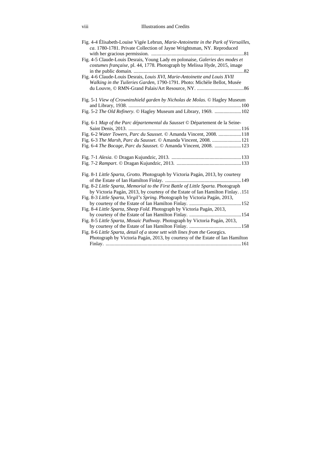| Fig. 4-4 Élisabeth-Louise Vigée Lebrun, Marie-Antoinette in the Park of Versailles,<br>ca. 1780-1781. Private Collection of Jayne Wrightsman, NY. Reproduced         |  |
|----------------------------------------------------------------------------------------------------------------------------------------------------------------------|--|
| Fig. 4-5 Claude-Louis Desrais, Young Lady en polonaise, Galeries des modes et<br><i>costumes française</i> , pl. 44, 1778. Photograph by Melissa Hyde, 2015, image   |  |
| Fig. 4-6 Claude-Louis Desrais, Louis XVI, Marie-Antoinette and Louis XVII<br>Walking in the Tuileries Garden, 1790-1791. Photo: Michèle Bellot, Musée                |  |
| Fig. 5-1 View of Crowninshield garden by Nicholas de Molas. © Hagley Museum                                                                                          |  |
| Fig. 5-2 The Old Refinery. © Hagley Museum and Library, 1969. 102                                                                                                    |  |
| Fig. 6-1 Map of the Parc départemental du Sausset © Département de la Seine-                                                                                         |  |
| Fig. 6-2 Water Towers, Parc du Sausset. © Amanda Vincent, 2008. 118                                                                                                  |  |
| Fig. 6-3 The Marsh, Parc du Sausset. © Amanda Vincent, 2008. 121                                                                                                     |  |
| Fig. 6-4 <i>The Bocage, Parc du Sausset</i> . © Amanda Vincent, 2008. 123                                                                                            |  |
|                                                                                                                                                                      |  |
|                                                                                                                                                                      |  |
| Fig. 8-1 Little Sparta, Grotto. Photograph by Victoria Pagán, 2013, by courtesy                                                                                      |  |
| Fig. 8-2 Little Sparta, Memorial to the First Battle of Little Sparta. Photograph<br>by Victoria Pagán, 2013, by courtesy of the Estate of Ian Hamilton Finlay. .151 |  |
| Fig. 8-3 Little Sparta, Virgil's Spring. Photograph by Victoria Pagán, 2013,                                                                                         |  |
| Fig. 8-4 Little Sparta, Sheep Fold. Photograph by Victoria Pagán, 2013,                                                                                              |  |
| Fig. 8-5 Little Sparta, Mosaic Pathway. Photograph by Victoria Pagán, 2013,                                                                                          |  |
| Fig. 8-6 Little Sparta, detail of a stone sett with lines from the Georgics.<br>Photograph by Victoria Pagán, 2013, by courtesy of the Estate of Ian Hamilton        |  |
|                                                                                                                                                                      |  |
|                                                                                                                                                                      |  |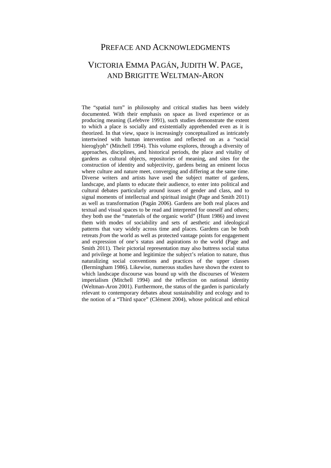### PREFACE AND ACKNOWLEDGMENTS

### VICTORIA EMMA PAGÁN, JUDITH W. PAGE, AND BRIGITTE WELTMAN-ARON

The "spatial turn" in philosophy and critical studies has been widely documented. With their emphasis on space as lived experience or as producing meaning (Lefebvre 1991), such studies demonstrate the extent to which a place is socially and existentially apprehended even as it is theorized. In that view, space is increasingly conceptualized as intricately intertwined with human intervention and reflected on as a "social hieroglyph" (Mitchell 1994). This volume explores, through a diversity of approaches, disciplines, and historical periods, the place and vitality of gardens as cultural objects, repositories of meaning, and sites for the construction of identity and subjectivity, gardens being an eminent locus where culture and nature meet, converging and differing at the same time. Diverse writers and artists have used the subject matter of gardens, landscape, and plants to educate their audience, to enter into political and cultural debates particularly around issues of gender and class, and to signal moments of intellectual and spiritual insight (Page and Smith 2011) as well as transformation (Pagán 2006). Gardens are both real places and textual and visual spaces to be read and interpreted for oneself and others; they both use the "materials of the organic world" (Hunt 1986) and invest them with modes of sociability and sets of aesthetic and ideological patterns that vary widely across time and places. Gardens can be both retreats *from* the world as well as protected vantage points for engagement and expression of one's status and aspirations *to* the world (Page and Smith 2011). Their pictorial representation may also buttress social status and privilege at home and legitimize the subject's relation to nature, thus naturalizing social conventions and practices of the upper classes (Bermingham 1986). Likewise, numerous studies have shown the extent to which landscape discourse was bound up with the discourses of Western imperialism (Mitchell 1994) and the reflection on national identity (Weltman-Aron 2001). Furthermore, the status of the garden is particularly relevant to contemporary debates about sustainability and ecology and to the notion of a "Third space" (Clément 2004), whose political and ethical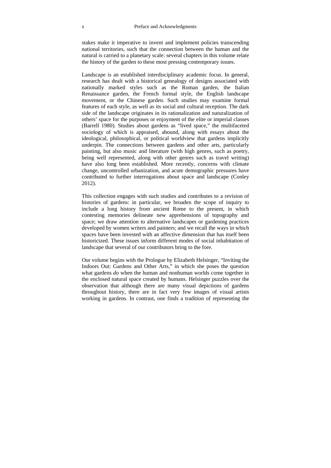stakes make it imperative to invent and implement policies transcending national territories, such that the connection between the human and the natural is carried to a planetary scale: several chapters in this volume relate the history of the garden to these most pressing contemporary issues.

Landscape is an established interdisciplinary academic focus. In general, research has dealt with a historical genealogy of designs associated with nationally marked styles such as the Roman garden, the Italian Renaissance garden, the French formal style, the English landscape movement, or the Chinese garden. Such studies may examine formal features of each style, as well as its social and cultural reception. The dark side of the landscape originates in its rationalization and naturalization of others' space for the purposes or enjoyment of the elite or imperial classes (Barrell 1980). Studies about gardens as "lived space," the multifaceted sociology of which is appraised, abound, along with essays about the ideological, philosophical, or political worldview that gardens implicitly underpin. The connections between gardens and other arts, particularly painting, but also music and literature (with high genres, such as poetry, being well represented, along with other genres such as travel writing) have also long been established. More recently, concerns with climate change, uncontrolled urbanization, and acute demographic pressures have contributed to further interrogations about space and landscape (Conley 2012).

This collection engages with such studies and contributes to a revision of histories of gardens: in particular, we broaden the scope of inquiry to include a long history from ancient Rome to the present, in which contesting memories delineate new apprehensions of topography and space; we draw attention to alternative landscapes or gardening practices developed by women writers and painters; and we recall the ways in which spaces have been invested with an affective dimension that has itself been historicized. These issues inform different modes of social inhabitation of landscape that several of our contributors bring to the fore.

Our volume begins with the Prologue by Elizabeth Helsinger, "Inviting the Indoors Out: Gardens and Other Arts," in which she poses the question what gardens *do* when the human and nonhuman worlds come together in the enclosed natural space created by humans. Helsinger puzzles over the observation that although there are many visual depictions of gardens throughout history, there are in fact very few images of visual artists working in gardens. In contrast, one finds a tradition of representing the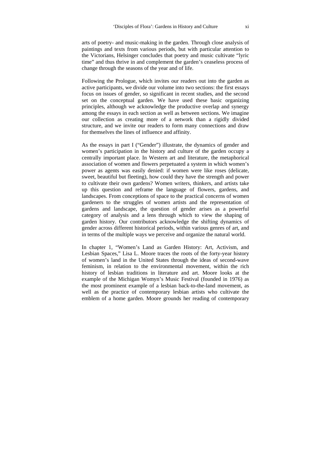arts of poetry- and music-making in the garden. Through close analysis of paintings and texts from various periods, but with particular attention to the Victorians, Helsinger concludes that poetry and music cultivate "lyric time" and thus thrive in and complement the garden's ceaseless process of change through the seasons of the year and of life.

Following the Prologue, which invites our readers out into the garden as active participants, we divide our volume into two sections: the first essays focus on issues of gender, so significant in recent studies, and the second set on the conceptual garden. We have used these basic organizing principles, although we acknowledge the productive overlap and synergy among the essays in each section as well as between sections. We imagine our collection as creating more of a network than a rigidly divided structure, and we invite our readers to form many connections and draw for themselves the lines of influence and affinity.

As the essays in part I ("Gender") illustrate, the dynamics of gender and women's participation in the history and culture of the garden occupy a centrally important place. In Western art and literature, the metaphorical association of women and flowers perpetuated a system in which women's power as agents was easily denied: if women were like roses (delicate, sweet, beautiful but fleeting), how could they have the strength and power to cultivate their own gardens? Women writers, thinkers, and artists take up this question and reframe the language of flowers, gardens, and landscapes. From conceptions of space to the practical concerns of women gardeners to the struggles of women artists and the representation of gardens and landscape, the question of gender arises as a powerful category of analysis and a lens through which to view the shaping of garden history. Our contributors acknowledge the shifting dynamics of gender across different historical periods, within various genres of art, and in terms of the multiple ways we perceive and organize the natural world.

In chapter 1, "Women's Land as Garden History: Art, Activism, and Lesbian Spaces," Lisa L. Moore traces the roots of the forty-year history of women's land in the United States through the ideas of second-wave feminism, in relation to the environmental movement, within the rich history of lesbian traditions in literature and art. Moore looks at the example of the Michigan Womyn's Music Festival (founded in 1976) as the most prominent example of a lesbian back-to-the-land movement, as well as the practice of contemporary lesbian artists who cultivate the emblem of a home garden. Moore grounds her reading of contemporary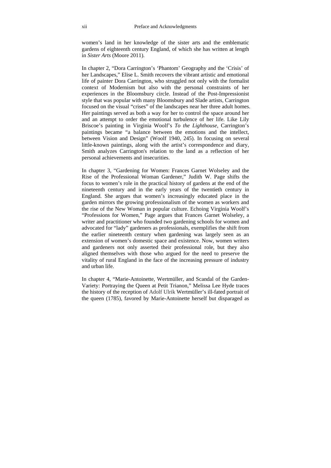women's land in her knowledge of the sister arts and the emblematic gardens of eighteenth century England, of which she has written at length in *Sister Arts* (Moore 2011).

In chapter 2, "Dora Carrington's 'Phantom' Geography and the 'Crisis' of her Landscapes," Elise L. Smith recovers the vibrant artistic and emotional life of painter Dora Carrington, who struggled not only with the formalist context of Modernism but also with the personal constraints of her experiences in the Bloomsbury circle. Instead of the Post-Impressionist style that was popular with many Bloomsbury and Slade artists, Carrington focused on the visual "crises" of the landscapes near her three adult homes. Her paintings served as both a way for her to control the space around her and an attempt to order the emotional turbulence of her life. Like Lily Briscoe's painting in Virginia Woolf's *To the Lighthouse*, Carrington's paintings became "a balance between the emotions and the intellect, between Vision and Design" (Woolf 1940, 245). In focusing on several little-known paintings, along with the artist's correspondence and diary, Smith analyzes Carrington's relation to the land as a reflection of her personal achievements and insecurities.

In chapter 3, "Gardening for Women: Frances Garnet Wolseley and the Rise of the Professional Woman Gardener," Judith W. Page shifts the focus to women's role in the practical history of gardens at the end of the nineteenth century and in the early years of the twentieth century in England. She argues that women's increasingly educated place in the garden mirrors the growing professionalism of the women as workers and the rise of the New Woman in popular culture. Echoing Virginia Woolf's "Professions for Women," Page argues that Frances Garnet Wolseley, a writer and practitioner who founded two gardening schools for women and advocated for "lady" gardeners as professionals, exemplifies the shift from the earlier nineteenth century when gardening was largely seen as an extension of women's domestic space and existence. Now, women writers and gardeners not only asserted their professional role, but they also aligned themselves with those who argued for the need to preserve the vitality of rural England in the face of the increasing pressure of industry and urban life.

In chapter 4, "Marie-Antoinette, Wertmüller, and Scandal of the Garden-Variety: Portraying the Queen at Petit Trianon," Melissa Lee Hyde traces the history of the reception of Adolf Ulrik Wertmüller's ill-fated portrait of the queen (1785), favored by Marie-Antoinette herself but disparaged as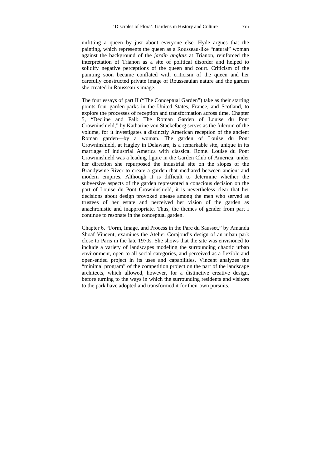unfitting a queen by just about everyone else. Hyde argues that the painting, which represents the queen as a Rousseau-like "natural" woman against the background of the *jardin anglais* at Trianon, reinforced the interpretation of Trianon as a site of political disorder and helped to solidify negative perceptions of the queen and court. Criticism of the painting soon became conflated with criticism of the queen and her carefully constructed private image of Rousseauian nature and the garden she created in Rousseau's image.

The four essays of part II ("The Conceptual Garden") take as their starting points four garden-parks in the United States, France, and Scotland, to explore the processes of reception and transformation across time. Chapter 5, "Decline and Fall: The Roman Garden of Louise du Pont Crowninshield," by Katharine von Stackelberg serves as the fulcrum of the volume, for it investigates a distinctly American reception of the ancient Roman garden—by a woman. The garden of Louise du Pont Crowninshield, at Hagley in Delaware, is a remarkable site, unique in its marriage of industrial America with classical Rome. Louise du Pont Crowninshield was a leading figure in the Garden Club of America; under her direction she repurposed the industrial site on the slopes of the Brandywine River to create a garden that mediated between ancient and modern empires. Although it is difficult to determine whether the subversive aspects of the garden represented a conscious decision on the part of Louise du Pont Crowninshield, it is nevertheless clear that her decisions about design provoked unease among the men who served as trustees of her estate and perceived her vision of the garden as anachronistic and inappropriate. Thus, the themes of gender from part I continue to resonate in the conceptual garden.

Chapter 6, "Form, Image, and Process in the Parc du Sausset," by Amanda Shoaf Vincent, examines the Atelier Corajoud's design of an urban park close to Paris in the late 1970s. She shows that the site was envisioned to include a variety of landscapes modeling the surrounding chaotic urban environment, open to all social categories, and perceived as a flexible and open-ended project in its uses and capabilities. Vincent analyzes the "minimal program" of the competition project on the part of the landscape architects, which allowed, however, for a distinctive creative design, before turning to the ways in which the surrounding residents and visitors to the park have adopted and transformed it for their own pursuits.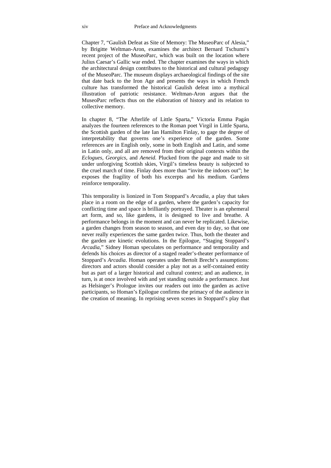Chapter 7, "Gaulish Defeat as Site of Memory: The MuseoParc of Alesia," by Brigitte Weltman-Aron, examines the architect Bernard Tschumi's recent project of the MuseoParc, which was built on the location where Julius Caesar's Gallic war ended. The chapter examines the ways in which the architectural design contributes to the historical and cultural pedagogy of the MuseoParc. The museum displays archaeological findings of the site that date back to the Iron Age and presents the ways in which French culture has transformed the historical Gaulish defeat into a mythical illustration of patriotic resistance. Weltman-Aron argues that the MuseoParc reflects thus on the elaboration of history and its relation to collective memory.

In chapter 8, "The Afterlife of Little Sparta," Victoria Emma Pagán analyzes the fourteen references to the Roman poet Virgil in Little Sparta, the Scottish garden of the late Ian Hamilton Finlay, to gage the degree of interpretability that governs one's experience of the garden. Some references are in English only, some in both English and Latin, and some in Latin only, and all are removed from their original contexts within the *Eclogues*, *Georgics*, and *Aeneid*. Plucked from the page and made to sit under unforgiving Scottish skies, Virgil's timeless beauty is subjected to the cruel march of time. Finlay does more than "invite the indoors out"; he exposes the fragility of both his excerpts and his medium. Gardens reinforce temporality.

This temporality is lionized in Tom Stoppard's *Arcadia*, a play that takes place in a room on the edge of a garden, where the garden's capacity for conflicting time and space is brilliantly portrayed. Theater is an ephemeral art form, and so, like gardens, it is designed to live and breathe. A performance belongs in the moment and can never be replicated. Likewise, a garden changes from season to season, and even day to day, so that one never really experiences the same garden twice. Thus, both the theater and the garden are kinetic evolutions. In the Epilogue, "Staging Stoppard's *Arcadia*," Sidney Homan speculates on performance and temporality and defends his choices as director of a staged reader's-theater performance of Stoppard's *Arcadia*. Homan operates under Bertolt Brecht's assumptions: directors and actors should consider a play not as a self-contained entity but as part of a larger historical and cultural context; and an audience, in turn, is at once involved with and yet standing outside a performance. Just as Helsinger's Prologue invites our readers out into the garden as active participants, so Homan's Epilogue confirms the primacy of the audience in the creation of meaning. In reprising seven scenes in Stoppard's play that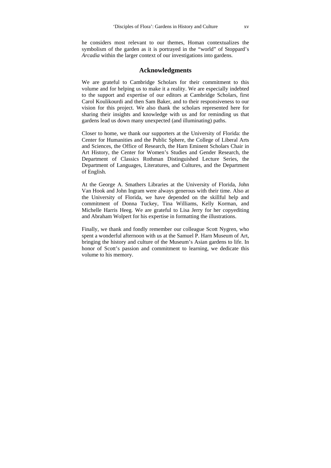he considers most relevant to our themes, Homan contextualizes the symbolism of the garden as it is portrayed in the "world" of Stoppard's *Arcadia* within the larger context of our investigations into gardens.

#### **Acknowledgments**

We are grateful to Cambridge Scholars for their commitment to this volume and for helping us to make it a reality. We are especially indebted to the support and expertise of our editors at Cambridge Scholars, first Carol Koulikourdi and then Sam Baker, and to their responsiveness to our vision for this project. We also thank the scholars represented here for sharing their insights and knowledge with us and for reminding us that gardens lead us down many unexpected (and illuminating) paths.

Closer to home, we thank our supporters at the University of Florida: the Center for Humanities and the Public Sphere, the College of Liberal Arts and Sciences, the Office of Research, the Harn Eminent Scholars Chair in Art History, the Center for Women's Studies and Gender Research, the Department of Classics Rothman Distinguished Lecture Series, the Department of Languages, Literatures, and Cultures, and the Department of English.

At the George A. Smathers Libraries at the University of Florida, John Van Hook and John Ingram were always generous with their time. Also at the University of Florida, we have depended on the skillful help and commitment of Donna Tuckey, Tina Williams, Kelly Korman, and Michelle Harris Heeg. We are grateful to Lisa Jerry for her copyediting and Abraham Wolpert for his expertise in formatting the illustrations.

Finally, we thank and fondly remember our colleague Scott Nygren, who spent a wonderful afternoon with us at the Samuel P. Harn Museum of Art, bringing the history and culture of the Museum's Asian gardens to life. In honor of Scott's passion and commitment to learning, we dedicate this volume to his memory.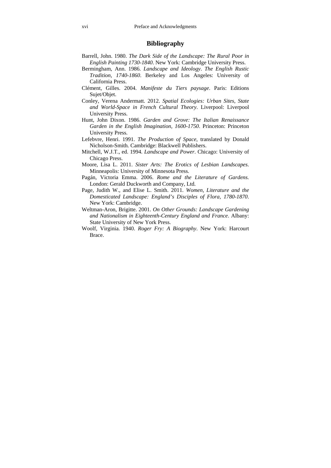#### **Bibliography**

- Barrell, John. 1980. *The Dark Side of the Landscape: The Rural Poor in English Painting 1730-1840*. New York: Cambridge University Press.
- Bermingham, Ann. 1986. *Landscape and Ideology*. *The English Rustic Tradition*, *1740-1860*. Berkeley and Los Angeles: University of California Press.
- Clément, Gilles. 2004. *Manifeste du Tiers paysage*. Paris: Editions Sujet/Objet.
- Conley, Verena Andermatt. 2012. *Spatial Ecologies: Urban Sites, State and World-Space in French Cultural Theory*. Liverpool: Liverpool University Press.
- Hunt, John Dixon. 1986. *Garden and Grove: The Italian Renaissance Garden in the English Imagination, 1600-1750*. Princeton: Princeton University Press.
- Lefebvre, Henri. 1991. *The Production of Space*, translated by Donald Nicholson-Smith. Cambridge: Blackwell Publishers.
- Mitchell, W.J.T., ed. 1994. *Landscape and Power*. Chicago: University of Chicago Press.
- Moore, Lisa L. 2011. *Sister Arts: The Erotics of Lesbian Landscapes*. Minneapolis: University of Minnesota Press.
- Pagán, Victoria Emma. 2006. *Rome and the Literature of Gardens.*  London: Gerald Duckworth and Company, Ltd.
- Page, Judith W., and Elise L. Smith. 2011. *Women, Literature and the Domesticated Landscape: England's Disciples of Flora, 1780-1870*. New York: Cambridge.
- Weltman-Aron, Brigitte. 2001. *On Other Grounds: Landscape Gardening and Nationalism in Eighteenth-Century England and France*. Albany: State University of New York Press.
- Woolf, Virginia. 1940. *Roger Fry: A Biography*. New York: Harcourt Brace.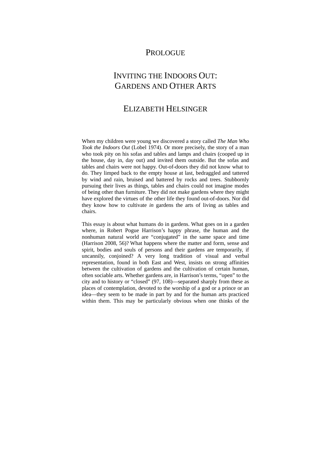### PROLOGUE

## INVITING THE INDOORS OUT: GARDENS AND OTHER ARTS

### ELIZABETH HELSINGER

When my children were young we discovered a story called *The Man Who Took the Indoors Out* (Lobel 1974). Or more precisely, the story of a man who took pity on his sofas and tables and lamps and chairs (cooped up in the house, day in, day out) and invited them outside. But the sofas and tables and chairs were not happy. Out-of-doors they did not know what to do. They limped back to the empty house at last, bedraggled and tattered by wind and rain, bruised and battered by rocks and trees. Stubbornly pursuing their lives as things, tables and chairs could not imagine modes of being other than furniture. They did not make gardens where they might have explored the virtues of the other life they found out-of-doors. Nor did they know how to cultivate *in* gardens the arts of living as tables and chairs.

This essay is about what humans do in gardens. What goes on in a garden where, in Robert Pogue Harrison's happy phrase, the human and the nonhuman natural world are "conjugated" in the same space and time (Harrison 2008, 56)? What happens where the matter and form, sense and spirit, bodies and souls of persons and their gardens are temporarily, if uncannily, conjoined? A very long tradition of visual and verbal representation, found in both East and West, insists on strong affinities between the cultivation of gardens and the cultivation of certain human, often sociable arts. Whether gardens are, in Harrison's terms, "open" to the city and to history or "closed" (97, 108)—separated sharply from these as places of contemplation, devoted to the worship of a god or a prince or an idea—they seem to be made in part by and for the human arts practiced within them. This may be particularly obvious when one thinks of the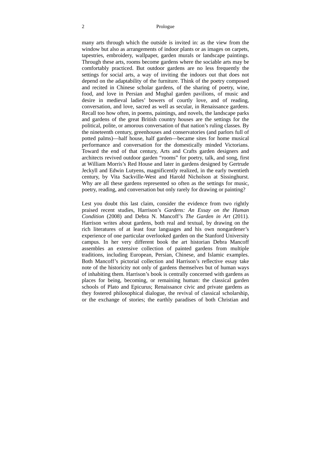#### 2 Prologue

many arts through which the outside is invited in: as the view from the window but also as arrangements of indoor plants or as images on carpets, tapestries, embroidery, wallpaper, garden murals or landscape paintings. Through these arts, rooms become gardens where the sociable arts may be comfortably practiced. But outdoor gardens are no less frequently the settings for social arts, a way of inviting the indoors out that does not depend on the adaptability of the furniture. Think of the poetry composed and recited in Chinese scholar gardens, of the sharing of poetry, wine, food, and love in Persian and Mughal garden pavilions, of music and desire in medieval ladies' bowers of courtly love, and of reading, conversation, and love, sacred as well as secular, in Renaissance gardens. Recall too how often, in poems, paintings, and novels, the landscape parks and gardens of the great British country houses are the settings for the political, polite, or amorous conversation of that nation's ruling classes. By the nineteenth century, greenhouses and conservatories (and parlors full of potted palms)—half house, half garden—became sites for home musical performance and conversation for the domestically minded Victorians. Toward the end of that century, Arts and Crafts garden designers and architects revived outdoor garden "rooms" for poetry, talk, and song, first at William Morris's Red House and later in gardens designed by Gertrude Jeckyll and Edwin Lutyens, magnificently realized, in the early twentieth century, by Vita Sackville-West and Harold Nicholson at Sissinghurst. Why are all these gardens represented so often as the settings for music, poetry, reading, and conversation but only rarely for drawing or painting?

Lest you doubt this last claim, consider the evidence from two rightly praised recent studies, Harrison's *Gardens: An Essay on the Human Condition* (2008) and Debra N. Mancoff's *The Garden in Art* (2011)*.* Harrison writes about gardens, both real and textual, by drawing on the rich literatures of at least four languages and his own nongardener's experience of one particular overlooked garden on the Stanford University campus. In her very different book the art historian Debra Mancoff assembles an extensive collection of painted gardens from multiple traditions, including European, Persian, Chinese, and Islamic examples. Both Mancoff's pictorial collection and Harrison's reflective essay take note of the historicity not only of gardens themselves but of human ways of inhabiting them. Harrison's book is centrally concerned with gardens as places for being, becoming, or remaining human: the classical garden schools of Plato and Epicurus; Renaissance civic and private gardens as they fostered philosophical dialogue, the revival of classical scholarship, or the exchange of stories; the earthly paradises of both Christian and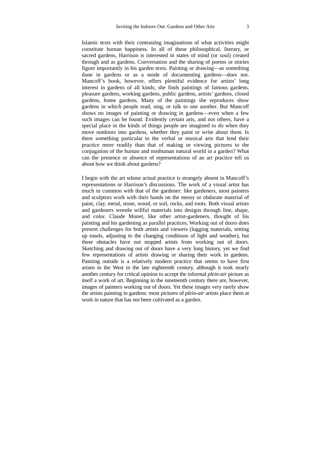Islamic texts with their contrasting imaginations of what activities might constitute human happiness. In all of these philosophical, literary, or sacred gardens, Harrison is interested in states of mind (or soul) created through and as gardens. Conversation and the sharing of poems or stories figure importantly in his garden texts. Painting or drawing—as something done in gardens or as a mode of documenting gardens—does not. Mancoff's book, however, offers plentiful evidence for artists' long interest in gardens of all kinds; she finds paintings of famous gardens, pleasure gardens, working gardens, public gardens, artists' gardens, closed gardens, home gardens. Many of the paintings she reproduces show gardens in which people read, sing, or talk to one another. But Mancoff shows no images of painting or drawing in gardens—even when a few such images can be found. Evidently certain arts, and not others, have a special place in the kinds of things people are imagined to do when they move outdoors into gardens, whether they paint or write about them. Is there something particular to the verbal or musical arts that lend their practice more readily than that of making or viewing pictures to the conjugation of the human and nonhuman natural world in a garden? What can the presence or absence of representations of an art practice tell us about how we think about gardens?

I begin with the art whose actual practice is strangely absent in Mancoff's representations or Harrison's discussions. The work of a visual artist has much in common with that of the gardener: like gardeners, most painters and sculptors work with their hands on the messy or obdurate material of paint, clay, metal, stone, wood, or soil, rocks, and roots. Both visual artists and gardeners wrestle willful materials into designs through line, shape, and color. Claude Monet, like other artist-gardeners, thought of his painting and his gardening as parallel practices. Working out of doors does present challenges for both artists and viewers (lugging materials, setting up easels, adjusting to the changing conditions of light and weather), but these obstacles have not stopped artists from working out of doors. Sketching and drawing out of doors have a very long history, yet we find few representations of artists drawing or sharing their work in gardens. Painting outside is a relatively modern practice that seems to have first arisen in the West in the late eighteenth century, although it took nearly another century for critical opinion to accept the informal *plein-air* picture as itself a work of art. Beginning in the nineteenth century there are, however, images of painters working out of doors. Yet these images very rarely show the artists painting in gardens: most pictures of *plein-air* artists place them at work in nature that has *not* been cultivated as a garden.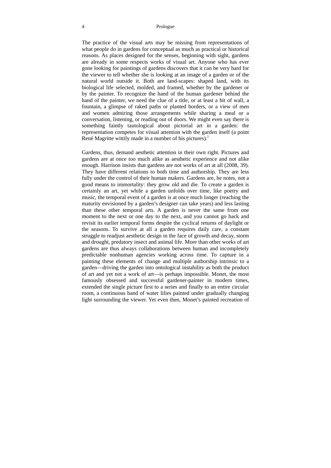#### 4 Prologue

The practice of the visual arts may be missing from representations of what people do in gardens for conceptual as much as practical or historical reasons. As places designed for the senses, beginning with sight, gardens are already in some respects works of visual art. Anyone who has ever gone looking for paintings of gardens discovers that it can be very hard for the viewer to tell whether she is looking at an image of a garden or of the natural world outside it. Both are land-scapes: shaped land, with its biological life selected, molded, and framed, whether by the gardener or by the painter. To recognize the hand of the human gardener behind the hand of the painter, we need the clue of a title, or at least a bit of wall, a fountain, a glimpse of raked paths or planted borders, or a view of men and women admiring those arrangements while sharing a meal or a conversation, listening, or reading out of doors. We might even say there is something faintly tautological about pictorial art in a garden: the representation competes for visual attention with the garden itself (a point René Magritte wittily made in a number of his pictures).<sup>1</sup>

Gardens, thus, demand aesthetic attention in their own right. Pictures and gardens are at once too much alike as aesthetic experience and not alike enough. Harrison insists that gardens are not works of art at all (2008, 39). They have different relations to both time and authorship. They are less fully under the control of their human makers. Gardens are, he notes, not a good means to immortality: they grow old and die. To create a garden is certainly an art, yet while a garden unfolds over time, like poetry and music, the temporal event of a garden is at once much longer (reaching the maturity envisioned by a garden's designer can take years) and less lasting than these other temporal arts. A garden is never the same from one moment to the next or one day to the next, and you cannot go back and revisit its earlier temporal forms despite the cyclical returns of daylight or the seasons. To survive at all a garden requires daily care, a constant struggle to readjust aesthetic design in the face of growth and decay, storm and drought, predatory insect and animal life. More than other works of art gardens are thus always collaborations between human and incompletely predictable nonhuman agencies working across time. To capture in a painting these elements of change and multiple authorship intrinsic to a garden—driving the garden into ontological instability as both the product of art and yet not a work of art—is perhaps impossible. Monet, the most famously obsessed and successful gardener-painter in modern times, extended the single picture first to a series and finally to an entire circular room, a continuous band of water lilies painted under gradually changing light surrounding the viewer. Yet even then, Monet's painted recreation of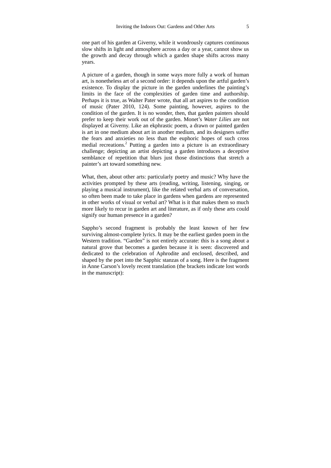one part of his garden at Giverny, while it wondrously captures continuous slow shifts in light and atmosphere across a day or a year, cannot show us the growth and decay through which a garden shape shifts across many years.

A picture of a garden, though in some ways more fully a work of human art, is nonetheless art of a second order: it depends upon the artful garden's existence. To display the picture in the garden underlines the painting's limits in the face of the complexities of garden time and authorship. Perhaps it is true, as Walter Pater wrote, that all art aspires to the condition of music (Pater 2010, 124). Some painting, however, aspires to the condition of the garden. It is no wonder, then, that garden painters should prefer to keep their work out of the garden. Monet's *Water Lilies* are not displayed at Giverny. Like an ekphrastic poem, a drawn or painted garden is art in one medium about art in another medium, and its designers suffer the fears and anxieties no less than the euphoric hopes of such cross medial recreations.<sup>2</sup> Putting a garden into a picture is an extraordinary challenge; depicting an artist depicting a garden introduces a deceptive semblance of repetition that blurs just those distinctions that stretch a painter's art toward something new.

What, then, about other arts: particularly poetry and music? Why have the activities prompted by these arts (reading, writing, listening, singing, or playing a musical instrument), like the related verbal arts of conversation, so often been made to take place in gardens when gardens are represented in other works of visual or verbal art? What is it that makes them so much more likely to recur in garden art and literature, as if only these arts could signify our human presence in a garden?

Sappho's second fragment is probably the least known of her few surviving almost-complete lyrics. It may be the earliest garden poem in the Western tradition. "Garden" is not entirely accurate: this is a song about a natural grove that becomes a garden because it is seen: discovered and dedicated to the celebration of Aphrodite and enclosed, described, and shaped by the poet into the Sapphic stanzas of a song. Here is the fragment in Anne Carson's lovely recent translation (the brackets indicate lost words in the manuscript):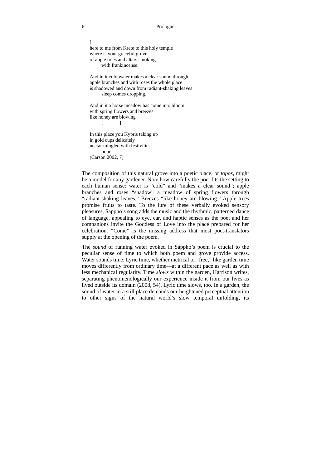] here to me from Krete to this holy temple where is your graceful grove of apple trees and altars smoking with frankincense.

And in it cold water makes a clear sound through apple branches and with roses the whole place is shadowed and down from radiant-shaking leaves sleep comes dropping.

And in it a horse meadow has come into bloom with spring flowers and breezes like honey are blowing  $\begin{bmatrix} 1 & 1 \\ 1 & 1 \end{bmatrix}$ 

In this place you Kypris taking up in gold cups delicately nectar mingled with festivities: pour. (Carson 2002, 7)

The composition of this natural grove into a poetic place, or *topos,* might be a model for any gardener. Note how carefully the poet fits the setting to each human sense: water is "cold" and "makes a clear sound"; apple branches and roses "shadow" a meadow of spring flowers through "radiant-shaking leaves." Breezes "like honey are blowing." Apple trees promise fruits to taste. To the lure of these verbally evoked sensory pleasures, Sappho's song adds the music and the rhythmic, patterned dance of language, appealing to eye, ear, and haptic senses as the poet and her companions invite the Goddess of Love into the place prepared for her celebration. "Come" is the missing address that most poet-translators supply at the opening of the poem.

The *sound* of running water evoked in Sappho's poem is crucial to the peculiar sense of time to which both poem and grove provide access. Water sounds time. Lyric time, whether metrical or "free," like garden time moves differently from ordinary time—at a different pace as well as with less mechanical regularity. Time *slows* within the garden, Harrison writes, separating phenomenologically our experience inside it from our lives as lived outside its domain (2008, 54). Lyric time slows, too. In a garden, the sound of water in a still place demands our heightened perceptual attention to other signs of the natural world's slow temporal unfolding, its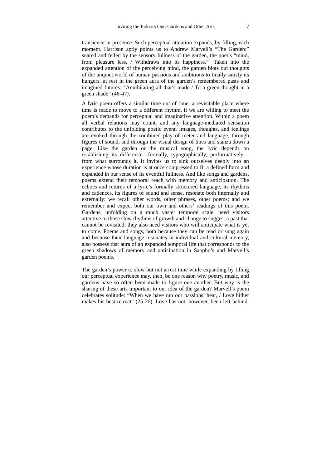transience-in-presence. Such perceptual attention expands, by filling, each moment. Harrison aptly points us to Andrew Marvell's "The Garden:" snared and felled by the sensory fullness of the garden, the poet's "mind, from pleasure less, / Withdraws into its happiness."<sup>3</sup> Taken into the expanded attention of the perceiving mind, the garden blots out thoughts of the unquiet world of human passions and ambitions to finally satisfy its hungers, at rest in the green aura of the garden's remembered pasts and imagined futures: "Annihilating all that's made / To a green thought in a green shade" (46-47).

A lyric poem offers a similar time out of time: a revisitable place where time is made to move to a different rhythm, if we are willing to meet the poem's demands for perceptual and imaginative attention. Within a poem all verbal relations may count, and any language-mediated sensation contributes to the unfolding poetic event. Images, thoughts, and feelings are evoked through the combined play of meter and language, through figures of sound, and through the visual design of lines and stanza down a page. Like the garden or the musical song, the lyric depends on establishing its difference—formally, typographically, performatively from what surrounds it. It invites us to sink ourselves deeply into an experience whose duration is at once compressed to fit a defined form and expanded in our sense of its eventful fullness. And like songs and gardens, poems extend their temporal reach with memory and anticipation. The echoes and returns of a lyric's formally structured language, its rhythms and cadences, its figures of sound and sense, resonate both internally and externally: we recall other words, other phrases, other poems; and we remember and expect both our own and others' readings of this poem. Gardens, unfolding on a much vaster temporal scale, need visitors attentive to those slow rhythms of growth and change to suggest a past that cannot be revisited; they also need visitors who will anticipate what is yet to come. Poems and songs, both because they can be read or sung again and because their language resonates in individual and cultural memory, also possess that aura of an expanded temporal life that corresponds to the green shadows of memory and anticipation in Sappho's and Marvell's garden poems.

The garden's power to slow but not arrest time while expanding by filling our perceptual experience may, then, be one reason why poetry, music, and gardens have so often been made to figure one another. But why is the sharing of these arts important to our idea of the garden? Marvell's poem celebrates solitude: "When we have run our passions' heat, / Love hither makes his best retreat" (25-26). Love has not, however, been left behind: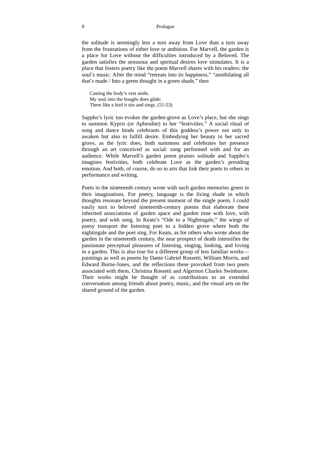#### 8 Prologue

the solitude is seemingly less a turn away from Love than a turn away from the frustrations of either love or ambition. For Marvell, the garden is a place for Love without the difficulties introduced by a Beloved. The garden satisfies the sensuous and spiritual desires love stimulates. It is a place that fosters poetry like the poem Marvell shares with his readers: the soul's music. After the mind "retreats into its happiness," "annihilating all that's made / Into a green thought in a green shade," then

Casting the body's vest aside, My soul into the boughs does glide: There like a bird it sits and sings. (51-53)

Sappho's lyric too evokes the garden-grove as Love's place, but she sings to summon Kypris (or Aphrodite) to her "festivities." A social ritual of song and dance binds celebrants of this goddess's power not only to awaken but also to fulfill desire. Embodying her beauty in her sacred grove, as the lyric does, both summons and celebrates her presence through an art conceived as social: song performed with and for an audience. While Marvell's garden poem praises solitude and Sappho's imagines festivities, both celebrate Love as the garden's presiding emotion. And both, of course, do so in arts that link their poets to others in performance and writing.

Poets in the nineteenth century wrote with such garden memories green in their imaginations. For poetry, language is the living shade in which thoughts resonate beyond the present moment of the single poem. I could easily turn to beloved nineteenth-century poems that elaborate these inherited associations of garden space and garden time with love, with poetry, and with song. In Keats's "Ode to a Nightingale," the wings of poesy transport the listening poet to a hidden grove where both the nightingale and the poet sing. For Keats, as for others who wrote about the garden in the nineteenth century, the near prospect of death intensifies the passionate perceptual pleasures of listening, singing, looking, and loving in a garden. This is also true for a different group of less familiar works paintings as well as poems by Dante Gabriel Rossetti, William Morris, and Edward Burne-Jones, and the reflections these provoked from two poets associated with them, Christina Rossetti and Algernon Charles Swinburne. Their works might be thought of as contributions to an extended conversation among friends about poetry, music, and the visual arts on the shared ground of the garden.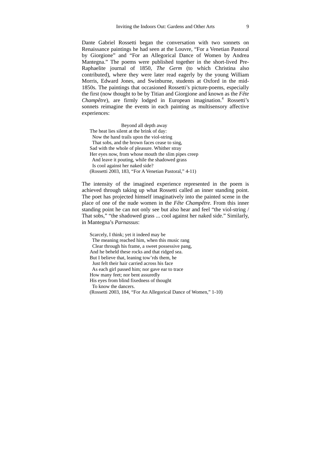Dante Gabriel Rossetti began the conversation with two sonnets on Renaissance paintings he had seen at the Louvre, "For a Venetian Pastoral by Giorgione" and "For an Allegorical Dance of Women by Andrea Mantegna." The poems were published together in the short-lived Pre-Raphaelite journal of 1850, *The Germ* (to which Christina also contributed), where they were later read eagerly by the young William Morris, Edward Jones, and Swinburne, students at Oxford in the mid-1850s. The paintings that occasioned Rossetti's picture-poems, especially the first (now thought to be by Titian and Giorgione and known as the *Fête*  Champêtre), are firmly lodged in European imagination.<sup>4</sup> Rossetti's sonnets reimagine the events in each painting as multisensory affective experiences:

Beyond all depth away The heat lies silent at the brink of day: Now the hand trails upon the viol-string That sobs, and the brown faces cease to sing, Sad with the whole of pleasure. Whither stray Her eyes now, from whose mouth the slim pipes creep And leave it pouting, while the shadowed grass Is cool against her naked side? (Rossetti 2003, 183, "For A Venetian Pastoral," 4-11)

The intensity of the imagined experience represented in the poem is achieved through taking up what Rossetti called an inner standing point. The poet has projected himself imaginatively into the painted scene in the place of one of the nude women in the *Fête Champêtre.* From this inner standing point he can not only see but also hear and feel "the viol-string / That sobs," "the shadowed grass ... cool against her naked side." Similarly, in Mantegna's *Parnassus*:

Scarcely, I think; yet it indeed may be The meaning reached him, when this music rang Clear through his frame, a sweet possessive pang, And he beheld these rocks and that ridged sea. But I believe that, leaning tow'rds them, he Just felt their hair carried across his face As each girl passed him; nor gave ear to trace How many feet; nor bent assuredly His eyes from blind fixedness of thought To know the dancers. (Rossetti 2003, 184, "For An Allegorical Dance of Women," 1-10)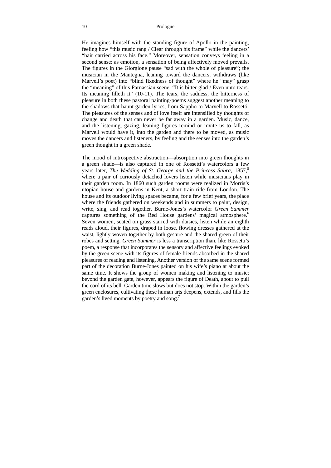He imagines himself with the standing figure of Apollo in the painting, feeling how "this music rang / Clear through his frame" while the dancers' "hair carried across his face." Moreover, sensation conveys feeling in a second sense: as emotion, a sensation of being affectively moved prevails. The figures in the Giorgione pause "sad with the whole of pleasure"; the musician in the Mantegna, leaning toward the dancers, withdraws (like Marvell's poet) into "blind fixedness of thought" where he "may" grasp the "meaning" of this Parnassian scene: "It is bitter glad / Even unto tears. Its meaning filleth it" (10-11). The tears, the sadness, the bitterness of pleasure in both these pastoral painting-poems suggest another meaning to the shadows that haunt garden lyrics, from Sappho to Marvell to Rossetti. The pleasures of the senses and of love itself are intensified by thoughts of change and death that can never be far away in a garden. Music, dance, and the listening, gazing, leaning figures remind or invite us to fall, as Marvell would have it, into the garden and there to be moved, as music moves the dancers and listeners, by feeling and the senses into the garden's green thought in a green shade.

The mood of introspective abstraction—absorption into green thoughts in a green shade—is also captured in one of Rossetti's watercolors a few years later, *The Wedding of St. George and the Princess Sabra*, 1857.<sup>5</sup> where a pair of curiously detached lovers listen while musicians play in their garden room. In 1860 such garden rooms were realized in Morris's utopian house and gardens in Kent, a short train ride from London. The house and its outdoor living spaces became, for a few brief years, the place where the friends gathered on weekends and in summers to paint, design, write, sing, and read together. Burne-Jones's watercolor *Green Summer*  captures something of the Red House gardens' magical atmosphere.<sup>6</sup> Seven women, seated on grass starred with daisies, listen while an eighth reads aloud, their figures, draped in loose, flowing dresses gathered at the waist, lightly woven together by both gesture and the shared green of their robes and setting. *Green Summer* is less a transcription than, like Rossetti's poem, a response that incorporates the sensory and affective feelings evoked by the green scene with its figures of female friends absorbed in the shared pleasures of reading and listening. Another version of the same scene formed part of the decoration Burne-Jones painted on his wife's piano at about the same time. It shows the group of women making and listening to music; beyond the garden gate, however, appears the figure of Death, about to pull the cord of its bell. Garden time slows but does not stop. Within the garden's green enclosures, cultivating these human arts deepens, extends, and fills the garden's lived moments by poetry and song.<sup>7</sup>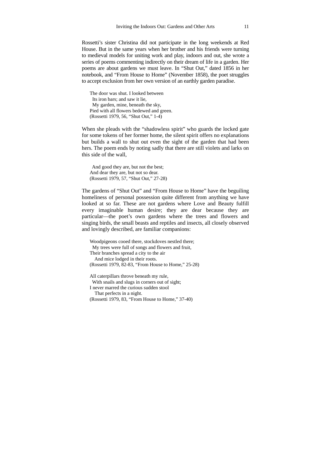Rossetti's sister Christina did not participate in the long weekends at Red House. But in the same years when her brother and his friends were turning to medieval models for uniting work and play, indoors and out, she wrote a series of poems commenting indirectly on their dream of life in a garden. Her poems are about gardens we must leave. In "Shut Out," dated 1856 in her notebook, and "From House to Home" (November 1858), the poet struggles to accept exclusion from her own version of an earthly garden paradise.

The door was shut. I looked between Its iron bars; and saw it lie, My garden, mine, beneath the sky, Pied with all flowers bedewed and green. (Rossetti 1979, 56, "Shut Out," 1-4)

When she pleads with the "shadowless spirit" who guards the locked gate for some tokens of her former home, the silent spirit offers no explanations but builds a wall to shut out even the sight of the garden that had been hers. The poem ends by noting sadly that there are still violets and larks on this side of the wall,

 And good they are, but not the best; And dear they are, but not so dear. (Rossetti 1979, 57, "Shut Out," 27-28)

The gardens of "Shut Out" and "From House to Home" have the beguiling homeliness of personal possession quite different from anything we have looked at so far. These are not gardens where Love and Beauty fulfill every imaginable human desire; they are dear because they are particular—the poet's own gardens where the trees and flowers and singing birds, the small beasts and reptiles and insects, all closely observed and lovingly described, are familiar companions:

Woodpigeons cooed there, stockdoves nestled there; My trees were full of songs and flowers and fruit, Their branches spread a city to the air And mice lodged in their roots. (Rossetti 1979, 82-83, "From House to Home," 25-28) All caterpillars throve beneath my rule, With snails and slugs in corners out of sight; I never marred the curious sudden stool That perfects in a night. (Rossetti 1979, 83, "From House to Home," 37-40)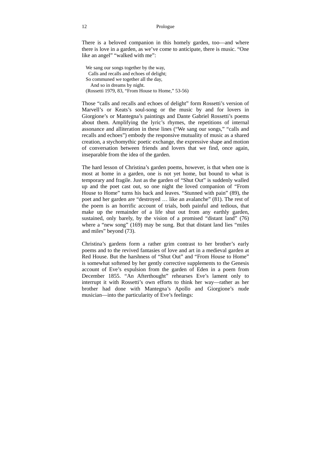There is a beloved companion in this homely garden, too—and where there is love in a garden, as we've come to anticipate, there is music. "One like an angel" "walked with me":

We sang our songs together by the way, Calls and recalls and echoes of delight; So communed we together all the day, And so in dreams by night. (Rossetti 1979, 83, "From House to Home," 53-56)

Those "calls and recalls and echoes of delight" form Rossetti's version of Marvell's or Keats's soul-song or the music by and for lovers in Giorgione's or Mantegna's paintings and Dante Gabriel Rossetti's poems about them. Amplifying the lyric's rhymes, the repetitions of internal assonance and alliteration in these lines ("We sang our songs," "calls and recalls and echoes") embody the responsive mutuality of music as a shared creation, a stychomythic poetic exchange, the expressive shape and motion of conversation between friends and lovers that we find, once again, inseparable from the idea of the garden.

The hard lesson of Christina's garden poems, however, is that when one is most at home in a garden, one is not yet home, but bound to what is temporary and fragile. Just as the garden of "Shut Out" is suddenly walled up and the poet cast out, so one night the loved companion of "From House to Home" turns his back and leaves. "Stunned with pain" (89), the poet and her garden are "destroyed … like an avalanche" (81). The rest of the poem is an horrific account of trials, both painful and tedious, that make up the remainder of a life shut out from any earthly garden, sustained, only barely, by the vision of a promised "distant land" (76) where a "new song" (169) may be sung. But that distant land lies "miles and miles" beyond (73).

Christina's gardens form a rather grim contrast to her brother's early poems and to the revived fantasies of love and art in a medieval garden at Red House. But the harshness of "Shut Out" and "From House to Home" is somewhat softened by her gently corrective supplements to the Genesis account of Eve's expulsion from the garden of Eden in a poem from December 1855. "An Afterthought" rehearses Eve's lament only to interrupt it with Rossetti's own efforts to think her way—rather as her brother had done with Mantegna's Apollo and Giorgione's nude musician—into the particularity of Eve's feelings: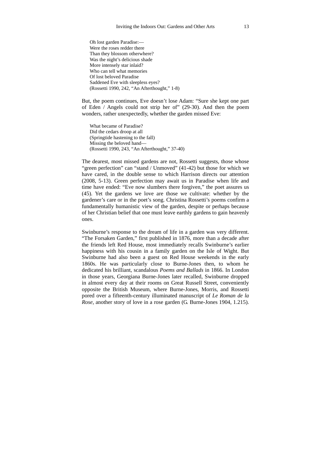Oh lost garden Paradise:— Were the roses redder there Than they blossom otherwhere? Was the night's delicious shade More intensely star inlaid? Who can tell what memories Of lost beloved Paradise Saddened Eve with sleepless eyes? (Rossetti 1990, 242, "An Afterthought," 1-8)

But, the poem continues, Eve doesn't lose Adam: "Sure she kept one part of Eden / Angels could not strip her of" (29-30). And then the poem wonders, rather unexpectedly, whether the garden missed Eve:

What became of Paradise? Did the cedars droop at all (Springtide hastening to the fall) Missing the beloved hand— (Rossetti 1990, 243, "An Afterthought," 37-40)

The dearest, most missed gardens are not, Rossetti suggests, those whose "green perfection" can "stand / Unmoved" (41-42) but those for which we have cared, in the double sense to which Harrison directs our attention (2008, 5-13). Green perfection may await us in Paradise when life and time have ended: "Eve now slumbers there forgiven," the poet assures us (45). Yet the gardens we love are those we cultivate: whether by the gardener's care or in the poet's song. Christina Rossetti's poems confirm a fundamentally humanistic view of the garden, despite or perhaps because of her Christian belief that one must leave earthly gardens to gain heavenly ones.

Swinburne's response to the dream of life in a garden was very different. "The Forsaken Garden," first published in 1876, more than a decade after the friends left Red House, most immediately recalls Swinburne's earlier happiness with his cousin in a family garden on the Isle of Wight. But Swinburne had also been a guest on Red House weekends in the early 1860s. He was particularly close to Burne-Jones then, to whom he dedicated his brilliant, scandalous *Poems and Ballads* in 1866. In London in those years, Georgiana Burne-Jones later recalled, Swinburne dropped in almost every day at their rooms on Great Russell Street, conveniently opposite the British Museum, where Burne-Jones, Morris, and Rossetti pored over a fifteenth-century illuminated manuscript of *Le Roman de la Rose,* another story of love in a rose garden (G. Burne-Jones 1904, 1.215).